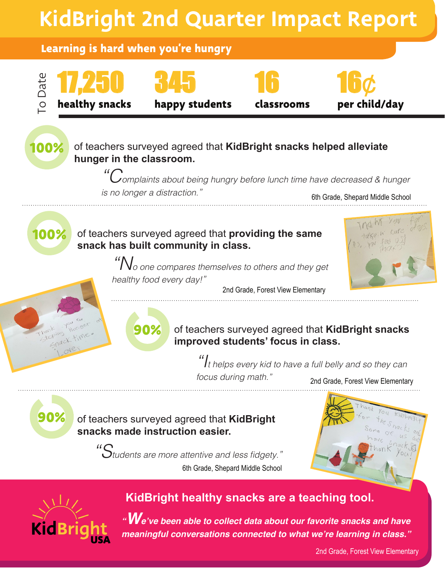



## **KidBright healthy snacks are a teaching tool.**

*"W***e've been able to collect data about our favorite snacks and have meaningful conversations connected to what we're learning in class."**